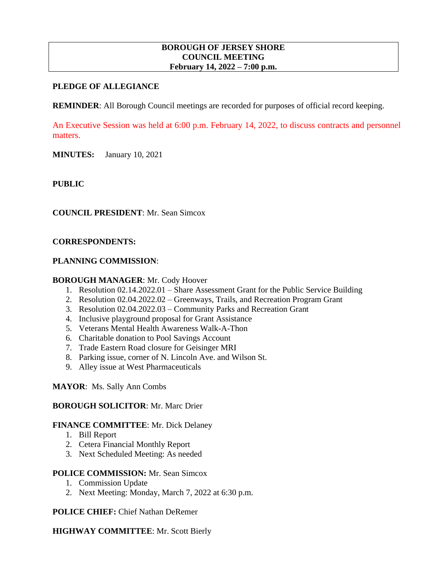#### **BOROUGH OF JERSEY SHORE COUNCIL MEETING February 14, 2022 – 7:00 p.m.**

### **PLEDGE OF ALLEGIANCE**

**REMINDER:** All Borough Council meetings are recorded for purposes of official record keeping.

An Executive Session was held at 6:00 p.m. February 14, 2022, to discuss contracts and personnel matters.

**MINUTES:** January 10, 2021

#### **PUBLIC**

**COUNCIL PRESIDENT**: Mr. Sean Simcox

#### **CORRESPONDENTS:**

#### **PLANNING COMMISSION**:

#### **BOROUGH MANAGER**: Mr. Cody Hoover

- 1. Resolution 02.14.2022.01 Share Assessment Grant for the Public Service Building
- 2. Resolution 02.04.2022.02 Greenways, Trails, and Recreation Program Grant
- 3. Resolution 02.04.2022.03 Community Parks and Recreation Grant
- 4. Inclusive playground proposal for Grant Assistance
- 5. Veterans Mental Health Awareness Walk-A-Thon
- 6. Charitable donation to Pool Savings Account
- 7. Trade Eastern Road closure for Geisinger MRI
- 8. Parking issue, corner of N. Lincoln Ave. and Wilson St.
- 9. Alley issue at West Pharmaceuticals

#### **MAYOR**: Ms. Sally Ann Combs

#### **BOROUGH SOLICITOR**: Mr. Marc Drier

#### **FINANCE COMMITTEE**: Mr. Dick Delaney

- 1. Bill Report
- 2. Cetera Financial Monthly Report
- 3. Next Scheduled Meeting: As needed

#### **POLICE COMMISSION:** Mr. Sean Simcox

- 1. Commission Update
- 2. Next Meeting: Monday, March 7, 2022 at 6:30 p.m.

**POLICE CHIEF:** Chief Nathan DeRemer

#### **HIGHWAY COMMITTEE**: Mr. Scott Bierly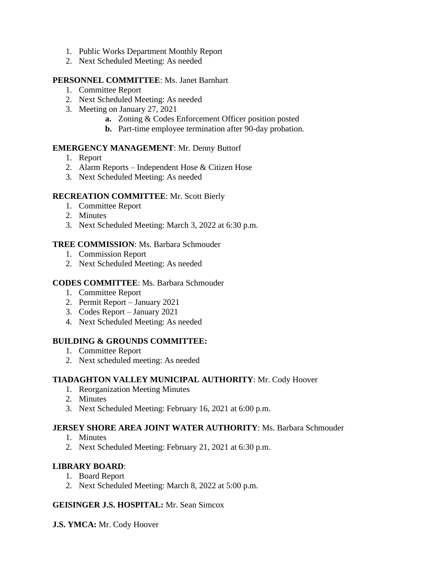- 1. Public Works Department Monthly Report
- 2. Next Scheduled Meeting: As needed

## **PERSONNEL COMMITTEE**: Ms. Janet Barnhart

- 1. Committee Report
- 2. Next Scheduled Meeting: As needed
- 3. Meeting on January 27, 2021
	- **a.** Zoning & Codes Enforcement Officer position posted
	- **b.** Part-time employee termination after 90-day probation.

## **EMERGENCY MANAGEMENT**: Mr. Denny Buttorf

- 1. Report
- 2. Alarm Reports Independent Hose & Citizen Hose
- 3. Next Scheduled Meeting: As needed

## **RECREATION COMMITTEE**: Mr. Scott Bierly

- 1. Committee Report
- 2. Minutes
- 3. Next Scheduled Meeting: March 3, 2022 at 6:30 p.m.

## **TREE COMMISSION**: Ms. Barbara Schmouder

- 1. Commission Report
- 2. Next Scheduled Meeting: As needed

## **CODES COMMITTEE**: Ms. Barbara Schmouder

- 1. Committee Report
- 2. Permit Report January 2021
- 3. Codes Report January 2021
- 4. Next Scheduled Meeting: As needed

## **BUILDING & GROUNDS COMMITTEE:**

- 1. Committee Report
- 2. Next scheduled meeting: As needed

## **TIADAGHTON VALLEY MUNICIPAL AUTHORITY**: Mr. Cody Hoover

- 1. Reorganization Meeting Minutes
- 2. Minutes
- 3. Next Scheduled Meeting: February 16, 2021 at 6:00 p.m.

## **JERSEY SHORE AREA JOINT WATER AUTHORITY**: Ms. Barbara Schmouder

- 1. Minutes
- 2. Next Scheduled Meeting: February 21, 2021 at 6:30 p.m.

## **LIBRARY BOARD**:

- 1. Board Report
- 2. Next Scheduled Meeting: March 8, 2022 at 5:00 p.m.

### **GEISINGER J.S. HOSPITAL:** Mr. Sean Simcox

**J.S. YMCA:** Mr. Cody Hoover